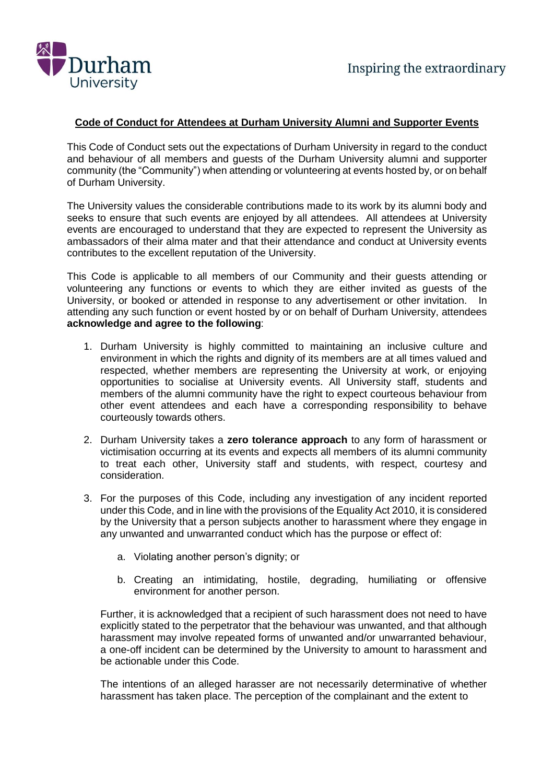

## **Code of Conduct for Attendees at Durham University Alumni and Supporter Events**

This Code of Conduct sets out the expectations of Durham University in regard to the conduct and behaviour of all members and guests of the Durham University alumni and supporter community (the "Community") when attending or volunteering at events hosted by, or on behalf of Durham University.

The University values the considerable contributions made to its work by its alumni body and seeks to ensure that such events are enjoyed by all attendees. All attendees at University events are encouraged to understand that they are expected to represent the University as ambassadors of their alma mater and that their attendance and conduct at University events contributes to the excellent reputation of the University.

This Code is applicable to all members of our Community and their guests attending or volunteering any functions or events to which they are either invited as guests of the University, or booked or attended in response to any advertisement or other invitation. In attending any such function or event hosted by or on behalf of Durham University, attendees **acknowledge and agree to the following**:

- 1. Durham University is highly committed to maintaining an inclusive culture and environment in which the rights and dignity of its members are at all times valued and respected, whether members are representing the University at work, or enjoying opportunities to socialise at University events. All University staff, students and members of the alumni community have the right to expect courteous behaviour from other event attendees and each have a corresponding responsibility to behave courteously towards others.
- 2. Durham University takes a **zero tolerance approach** to any form of harassment or victimisation occurring at its events and expects all members of its alumni community to treat each other, University staff and students, with respect, courtesy and consideration.
- 3. For the purposes of this Code, including any investigation of any incident reported under this Code, and in line with the provisions of the Equality Act 2010, it is considered by the University that a person subjects another to harassment where they engage in any unwanted and unwarranted conduct which has the purpose or effect of:
	- a. Violating another person's dignity; or
	- b. Creating an intimidating, hostile, degrading, humiliating or offensive environment for another person.

Further, it is acknowledged that a recipient of such harassment does not need to have explicitly stated to the perpetrator that the behaviour was unwanted, and that although harassment may involve repeated forms of unwanted and/or unwarranted behaviour, a one-off incident can be determined by the University to amount to harassment and be actionable under this Code.

The intentions of an alleged harasser are not necessarily determinative of whether harassment has taken place. The perception of the complainant and the extent to